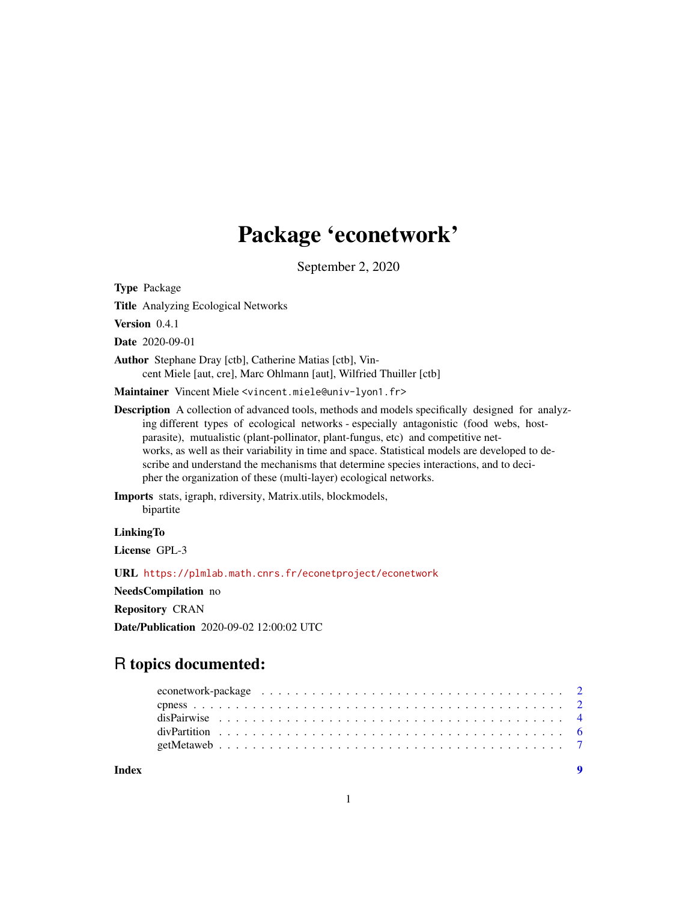## Package 'econetwork'

September 2, 2020

<span id="page-0-0"></span>Type Package

Title Analyzing Ecological Networks

Version 0.4.1

Date 2020-09-01

Author Stephane Dray [ctb], Catherine Matias [ctb], Vincent Miele [aut, cre], Marc Ohlmann [aut], Wilfried Thuiller [ctb]

Maintainer Vincent Miele <vincent.miele@univ-lyon1.fr>

Description A collection of advanced tools, methods and models specifically designed for analyzing different types of ecological networks - especially antagonistic (food webs, hostparasite), mutualistic (plant-pollinator, plant-fungus, etc) and competitive networks, as well as their variability in time and space. Statistical models are developed to describe and understand the mechanisms that determine species interactions, and to decipher the organization of these (multi-layer) ecological networks.

Imports stats, igraph, rdiversity, Matrix.utils, blockmodels, bipartite

**LinkingTo** 

License GPL-3

URL <https://plmlab.math.cnrs.fr/econetproject/econetwork>

NeedsCompilation no

Repository CRAN

Date/Publication 2020-09-02 12:00:02 UTC

## R topics documented: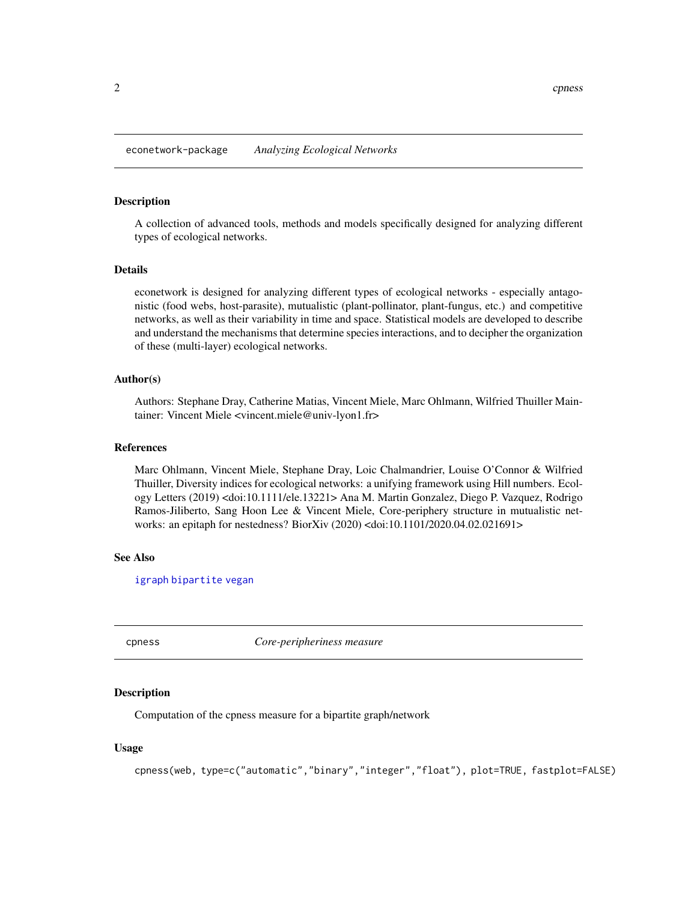#### <span id="page-1-0"></span>Description

A collection of advanced tools, methods and models specifically designed for analyzing different types of ecological networks.

#### Details

econetwork is designed for analyzing different types of ecological networks - especially antagonistic (food webs, host-parasite), mutualistic (plant-pollinator, plant-fungus, etc.) and competitive networks, as well as their variability in time and space. Statistical models are developed to describe and understand the mechanisms that determine species interactions, and to decipher the organization of these (multi-layer) ecological networks.

## Author(s)

Authors: Stephane Dray, Catherine Matias, Vincent Miele, Marc Ohlmann, Wilfried Thuiller Maintainer: Vincent Miele <vincent.miele@univ-lyon1.fr>

#### References

Marc Ohlmann, Vincent Miele, Stephane Dray, Loic Chalmandrier, Louise O'Connor & Wilfried Thuiller, Diversity indices for ecological networks: a unifying framework using Hill numbers. Ecology Letters (2019) <doi:10.1111/ele.13221> Ana M. Martin Gonzalez, Diego P. Vazquez, Rodrigo Ramos-Jiliberto, Sang Hoon Lee & Vincent Miele, Core-periphery structure in mutualistic networks: an epitaph for nestedness? BiorXiv (2020) <doi:10.1101/2020.04.02.021691>

#### See Also

[igraph](#page-0-0) [bipartite](#page-0-0) [vegan](#page-0-0)

cpness *Core-peripheriness measure*

#### Description

Computation of the cpness measure for a bipartite graph/network

## Usage

cpness(web, type=c("automatic","binary","integer","float"), plot=TRUE, fastplot=FALSE)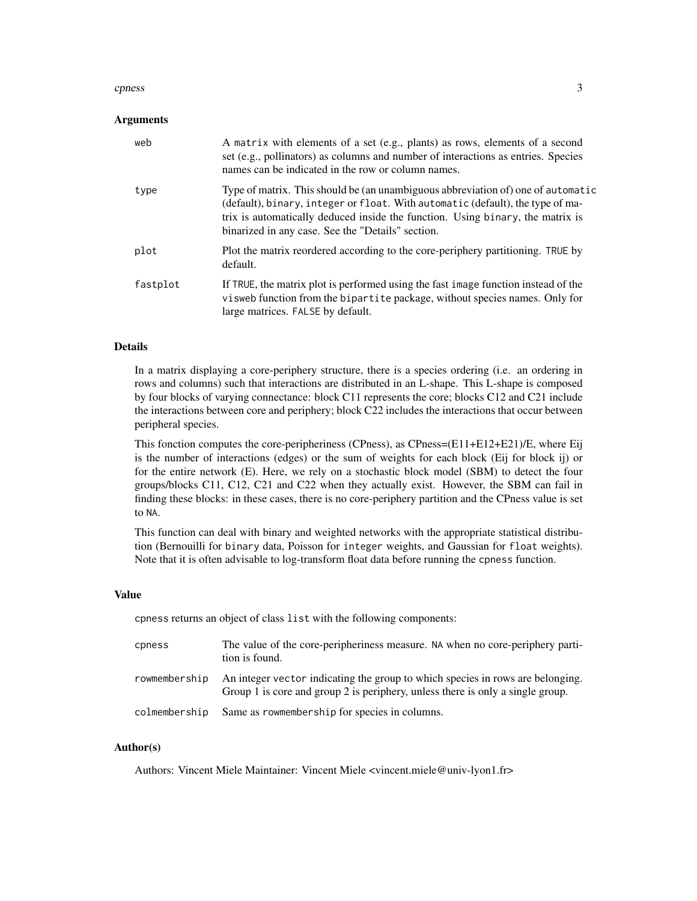#### cpness 3

#### Arguments

| web      | A matrix with elements of a set (e.g., plants) as rows, elements of a second<br>set (e.g., pollinators) as columns and number of interactions as entries. Species<br>names can be indicated in the row or column names.                                                                                   |
|----------|-----------------------------------------------------------------------------------------------------------------------------------------------------------------------------------------------------------------------------------------------------------------------------------------------------------|
| type     | Type of matrix. This should be (an unambiguous abbreviation of) one of automatic<br>(default), binary, integer or float. With automatic (default), the type of ma-<br>trix is automatically deduced inside the function. Using binary, the matrix is<br>binarized in any case. See the "Details" section. |
| plot     | Plot the matrix reordered according to the core-periphery partitioning. TRUE by<br>default.                                                                                                                                                                                                               |
| fastplot | If TRUE, the matrix plot is performed using the fast image function instead of the<br>visweb function from the bipartite package, without species names. Only for<br>large matrices. FALSE by default.                                                                                                    |

## Details

In a matrix displaying a core-periphery structure, there is a species ordering (i.e. an ordering in rows and columns) such that interactions are distributed in an L-shape. This L-shape is composed by four blocks of varying connectance: block C11 represents the core; blocks C12 and C21 include the interactions between core and periphery; block C22 includes the interactions that occur between peripheral species.

This fonction computes the core-peripheriness (CPness), as CPness=(E11+E12+E21)/E, where Eij is the number of interactions (edges) or the sum of weights for each block (Eij for block ij) or for the entire network (E). Here, we rely on a stochastic block model (SBM) to detect the four groups/blocks C11, C12, C21 and C22 when they actually exist. However, the SBM can fail in finding these blocks: in these cases, there is no core-periphery partition and the CPness value is set to NA.

This function can deal with binary and weighted networks with the appropriate statistical distribution (Bernouilli for binary data, Poisson for integer weights, and Gaussian for float weights). Note that it is often advisable to log-transform float data before running the cpness function.

## Value

cpness returns an object of class list with the following components:

| cpness        | The value of the core-peripheriness measure. NA when no core-periphery parti-<br>tion is found.                                                                  |
|---------------|------------------------------------------------------------------------------------------------------------------------------------------------------------------|
| rowmembership | An integer vector indicating the group to which species in rows are belonging.<br>Group 1 is core and group 2 is periphery, unless there is only a single group. |
| colmembership | Same as rowmembership for species in columns.                                                                                                                    |

## Author(s)

Authors: Vincent Miele Maintainer: Vincent Miele <vincent.miele@univ-lyon1.fr>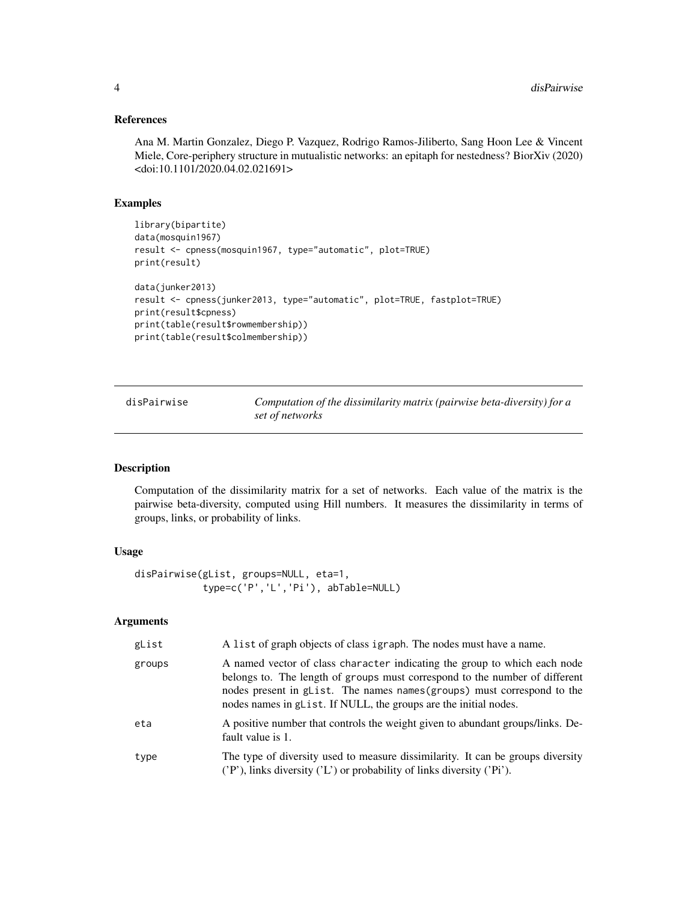#### <span id="page-3-0"></span>References

Ana M. Martin Gonzalez, Diego P. Vazquez, Rodrigo Ramos-Jiliberto, Sang Hoon Lee & Vincent Miele, Core-periphery structure in mutualistic networks: an epitaph for nestedness? BiorXiv (2020) <doi:10.1101/2020.04.02.021691>

#### Examples

```
library(bipartite)
data(mosquin1967)
result <- cpness(mosquin1967, type="automatic", plot=TRUE)
print(result)
data(junker2013)
result <- cpness(junker2013, type="automatic", plot=TRUE, fastplot=TRUE)
print(result$cpness)
print(table(result$rowmembership))
print(table(result$colmembership))
```
disPairwise *Computation of the dissimilarity matrix (pairwise beta-diversity) for a set of networks*

## Description

Computation of the dissimilarity matrix for a set of networks. Each value of the matrix is the pairwise beta-diversity, computed using Hill numbers. It measures the dissimilarity in terms of groups, links, or probability of links.

#### Usage

```
disPairwise(gList, groups=NULL, eta=1,
            type=c('P','L','Pi'), abTable=NULL)
```
## Arguments

| gList  | A list of graph objects of class igraph. The nodes must have a name.                                                                                                                                                                                                                                    |
|--------|---------------------------------------------------------------------------------------------------------------------------------------------------------------------------------------------------------------------------------------------------------------------------------------------------------|
| groups | A named vector of class character indicating the group to which each node<br>belongs to. The length of groups must correspond to the number of different<br>nodes present in glist. The names names (groups) must correspond to the<br>nodes names in glist. If NULL, the groups are the initial nodes. |
| eta    | A positive number that controls the weight given to abundant groups/links. De-<br>fault value is 1.                                                                                                                                                                                                     |
| type   | The type of diversity used to measure dissimilarity. It can be groups diversity<br>('P'), links diversity ('L') or probability of links diversity ('Pi').                                                                                                                                               |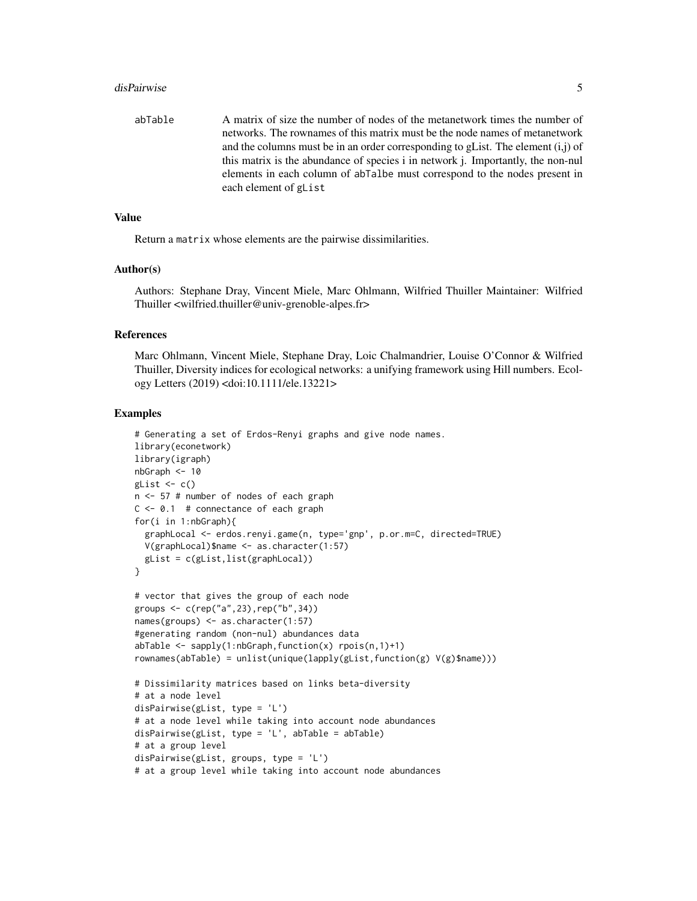#### disPairwise 55 and 5 and 5 and 5 and 5 and 5 and 5 and 5 and 5 and 5 and 5 and 5 and 5 and 5 and 5 and 5 and 5 and 5 and 5 and 5 and 5 and 5 and 5 and 5 and 5 and 5 and 5 and 5 and 5 and 5 and 5 and 5 and 5 and 5 and 5 and

abTable A matrix of size the number of nodes of the metanetwork times the number of networks. The rownames of this matrix must be the node names of metanetwork and the columns must be in an order corresponding to gList. The element  $(i,j)$  of this matrix is the abundance of species i in network j. Importantly, the non-nul elements in each column of abTalbe must correspond to the nodes present in each element of gList

#### Value

Return a matrix whose elements are the pairwise dissimilarities.

#### Author(s)

Authors: Stephane Dray, Vincent Miele, Marc Ohlmann, Wilfried Thuiller Maintainer: Wilfried Thuiller <wilfried.thuiller@univ-grenoble-alpes.fr>

#### References

Marc Ohlmann, Vincent Miele, Stephane Dray, Loic Chalmandrier, Louise O'Connor & Wilfried Thuiller, Diversity indices for ecological networks: a unifying framework using Hill numbers. Ecology Letters (2019) <doi:10.1111/ele.13221>

#### Examples

```
# Generating a set of Erdos-Renyi graphs and give node names.
library(econetwork)
library(igraph)
nbGraph <- 10
glist \leftarrow c()n <- 57 # number of nodes of each graph
C \le -0.1 # connectance of each graph
for(i in 1:nbGraph){
  graphLocal <- erdos.renyi.game(n, type='gnp', p.or.m=C, directed=TRUE)
  V(graphLocal)$name <- as.character(1:57)
  gList = c(gList,list(graphLocal))
}
# vector that gives the group of each node
groups <- c(rep("a",23),rep("b",34))
names(groups) <- as.character(1:57)
#generating random (non-nul) abundances data
abTable < - sapply(1:nbGraph, function(x) rpois(n, 1)+1)
rownames(abTable) = unlist(unique(lapply(gList,function(g) V(g)$name)))
# Dissimilarity matrices based on links beta-diversity
# at a node level
disPairwise(gList, type = 'L')
# at a node level while taking into account node abundances
disPairwise(gList, type = 'L', abTable = abTable)
# at a group level
disPairwise(gList, groups, type = 'L')
# at a group level while taking into account node abundances
```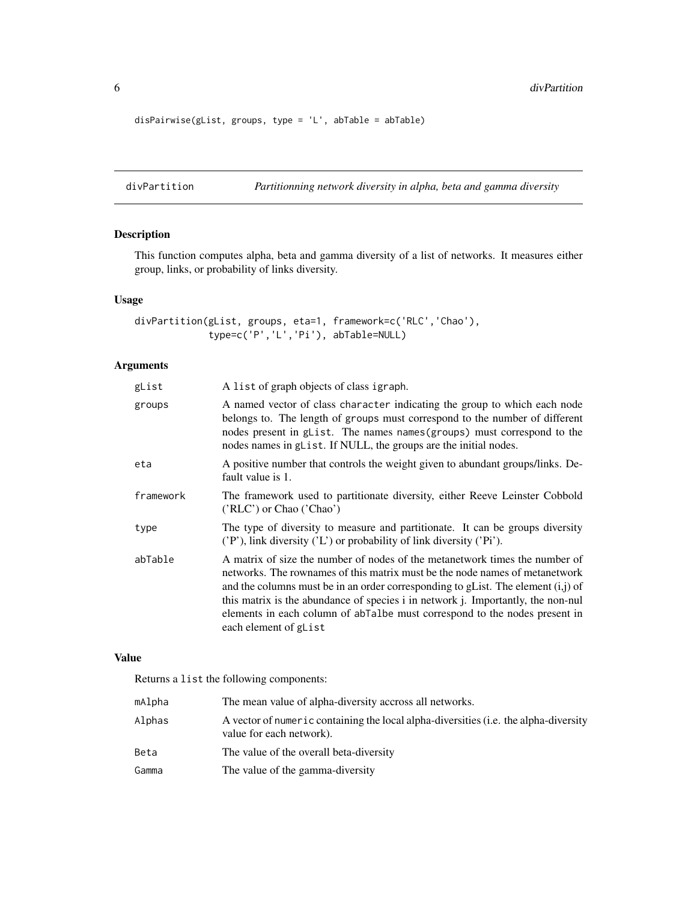6 divPartition

```
disPairwise(gList, groups, type = 'L', abTable = abTable)
```
divPartition *Partitionning network diversity in alpha, beta and gamma diversity*

## Description

This function computes alpha, beta and gamma diversity of a list of networks. It measures either group, links, or probability of links diversity.

## Usage

```
divPartition(gList, groups, eta=1, framework=c('RLC','Chao'),
             type=c('P','L','Pi'), abTable=NULL)
```
## Arguments

| gList     | A list of graph objects of class igraph.                                                                                                                                                                                                                                                                                                                                                                                                     |
|-----------|----------------------------------------------------------------------------------------------------------------------------------------------------------------------------------------------------------------------------------------------------------------------------------------------------------------------------------------------------------------------------------------------------------------------------------------------|
| groups    | A named vector of class character indicating the group to which each node<br>belongs to. The length of groups must correspond to the number of different<br>nodes present in glist. The names names (groups) must correspond to the<br>nodes names in gList. If NULL, the groups are the initial nodes.                                                                                                                                      |
| eta       | A positive number that controls the weight given to abundant groups/links. De-<br>fault value is 1.                                                                                                                                                                                                                                                                                                                                          |
| framework | The framework used to partitionate diversity, either Reeve Leinster Cobbold<br>('RLC') or Chao ('Chao')                                                                                                                                                                                                                                                                                                                                      |
| type      | The type of diversity to measure and partitionate. It can be groups diversity<br>('P'), link diversity ('L') or probability of link diversity ('Pi').                                                                                                                                                                                                                                                                                        |
| abTable   | A matrix of size the number of nodes of the metanetwork times the number of<br>networks. The rownames of this matrix must be the node names of metanetwork<br>and the columns must be in an order corresponding to gList. The element $(i, j)$ of<br>this matrix is the abundance of species i in network j. Importantly, the non-nul<br>elements in each column of about a must correspond to the nodes present in<br>each element of glist |

## Value

Returns a list the following components:

| mAlpha | The mean value of alpha-diversity accross all networks.                                                          |
|--------|------------------------------------------------------------------------------------------------------------------|
| Alphas | A vector of numeric containing the local alpha-diversities (i.e. the alpha-diversity<br>value for each network). |
| Beta   | The value of the overall beta-diversity                                                                          |
| Gamma  | The value of the gamma-diversity                                                                                 |

<span id="page-5-0"></span>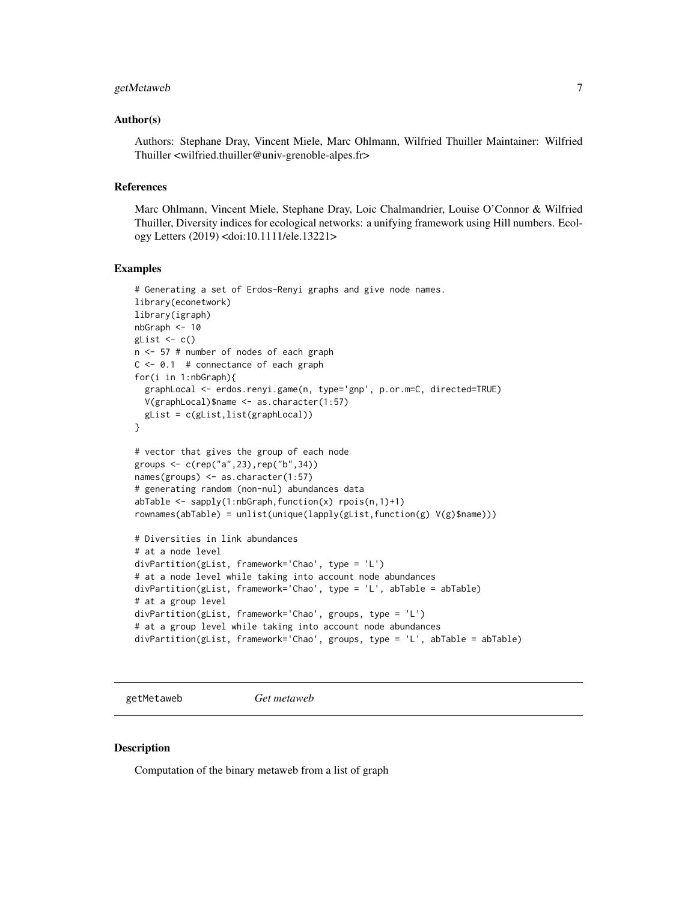## <span id="page-6-0"></span>getMetaweb 7

#### Author(s)

Authors: Stephane Dray, Vincent Miele, Marc Ohlmann, Wilfried Thuiller Maintainer: Wilfried Thuiller <wilfried.thuiller@univ-grenoble-alpes.fr>

## References

Marc Ohlmann, Vincent Miele, Stephane Dray, Loic Chalmandrier, Louise O'Connor & Wilfried Thuiller, Diversity indices for ecological networks: a unifying framework using Hill numbers. Ecology Letters (2019) <doi:10.1111/ele.13221>

#### Examples

```
# Generating a set of Erdos-Renyi graphs and give node names.
library(econetwork)
library(igraph)
nbGraph <- 10
glist \leftarrow c()n <- 57 # number of nodes of each graph
C \le -0.1 # connectance of each graph
for(i in 1:nbGraph){
  graphLocal <- erdos.renyi.game(n, type='gnp', p.or.m=C, directed=TRUE)
  V(graphLocal)$name <- as.character(1:57)
  gList = c(gList,list(graphLocal))
}
# vector that gives the group of each node
groups <- c(rep("a",23),rep("b",34))
names(groups) <- as.character(1:57)
# generating random (non-nul) abundances data
abTable < - sapply(1:nbGraph, function(x) rpois(n, 1)+1)
rownames(abTable) = unlist(unique(lapply(gList,function(g) V(g)$name)))
# Diversities in link abundances
# at a node level
divPartition(gList, framework='Chao', type = 'L')
# at a node level while taking into account node abundances
divPartition(gList, framework='Chao', type = 'L', abTable = abTable)
# at a group level
divPartition(gList, framework='Chao', groups, type = 'L')
# at a group level while taking into account node abundances
divPartition(gList, framework='Chao', groups, type = 'L', abTable = abTable)
```
getMetaweb *Get metaweb*

#### Description

Computation of the binary metaweb from a list of graph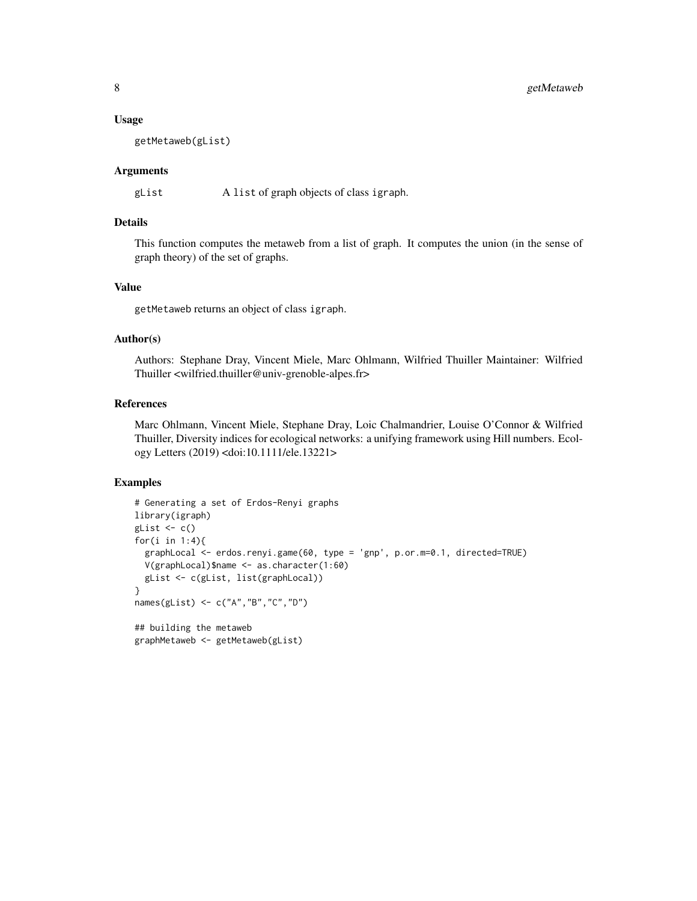#### Usage

getMetaweb(gList)

#### Arguments

gList A list of graph objects of class igraph.

#### Details

This function computes the metaweb from a list of graph. It computes the union (in the sense of graph theory) of the set of graphs.

## Value

getMetaweb returns an object of class igraph.

#### Author(s)

Authors: Stephane Dray, Vincent Miele, Marc Ohlmann, Wilfried Thuiller Maintainer: Wilfried Thuiller <wilfried.thuiller@univ-grenoble-alpes.fr>

## References

Marc Ohlmann, Vincent Miele, Stephane Dray, Loic Chalmandrier, Louise O'Connor & Wilfried Thuiller, Diversity indices for ecological networks: a unifying framework using Hill numbers. Ecology Letters (2019) <doi:10.1111/ele.13221>

#### Examples

```
# Generating a set of Erdos-Renyi graphs
library(igraph)
gList \leftarrow c()
for(i in 1:4){
 graphLocal <- erdos.renyi.game(60, type = 'gnp', p.or.m=0.1, directed=TRUE)
 V(graphLocal)$name <- as.character(1:60)
 gList <- c(gList, list(graphLocal))
}
names(gList) <- c("A","B","C","D")
## building the metaweb
graphMetaweb <- getMetaweb(gList)
```